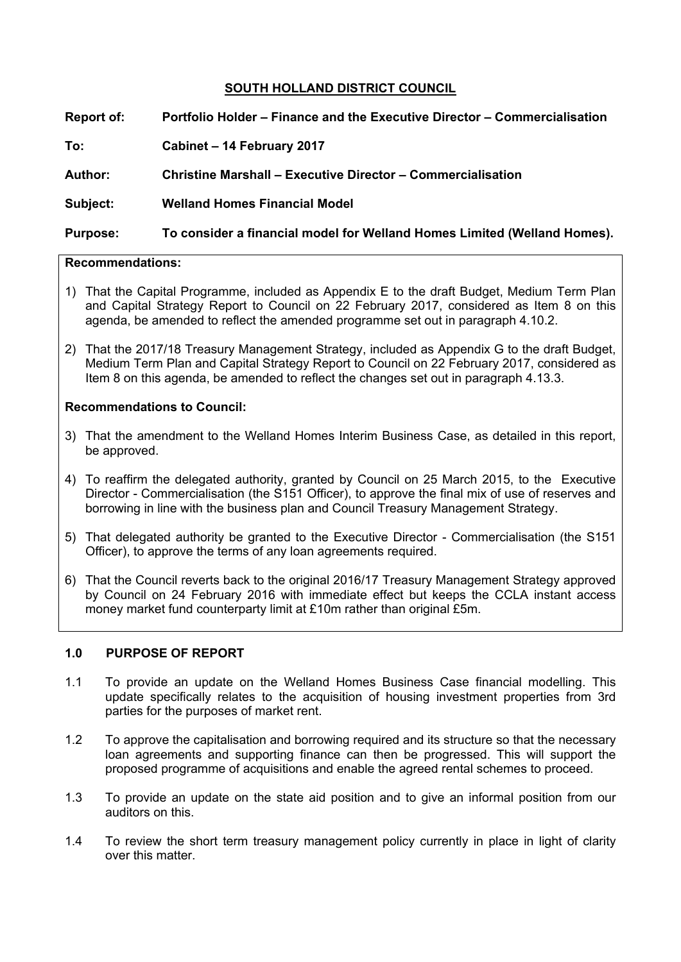## **SOUTH HOLLAND DISTRICT COUNCIL**

**Report of: Portfolio Holder – Finance and the Executive Director – Commercialisation To: Cabinet – 14 February 2017 Author: Christine Marshall – Executive Director – Commercialisation Subject: Welland Homes Financial Model Purpose: To consider a financial model for Welland Homes Limited (Welland Homes).**

## **Recommendations:**

- 1) That the Capital Programme, included as Appendix E to the draft Budget, Medium Term Plan and Capital Strategy Report to Council on 22 February 2017, considered as Item 8 on this agenda, be amended to reflect the amended programme set out in paragraph 4.10.2.
- 2) That the 2017/18 Treasury Management Strategy, included as Appendix G to the draft Budget, Medium Term Plan and Capital Strategy Report to Council on 22 February 2017, considered as Item 8 on this agenda, be amended to reflect the changes set out in paragraph 4.13.3.

#### **Recommendations to Council:**

- 3) That the amendment to the Welland Homes Interim Business Case, as detailed in this report, be approved.
- 4) To reaffirm the delegated authority, granted by Council on 25 March 2015, to the Executive Director - Commercialisation (the S151 Officer), to approve the final mix of use of reserves and borrowing in line with the business plan and Council Treasury Management Strategy.
- 5) That delegated authority be granted to the Executive Director Commercialisation (the S151 Officer), to approve the terms of any loan agreements required.
- 6) That the Council reverts back to the original 2016/17 Treasury Management Strategy approved by Council on 24 February 2016 with immediate effect but keeps the CCLA instant access money market fund counterparty limit at £10m rather than original £5m.

## **1.0 PURPOSE OF REPORT**

- 1.1 To provide an update on the Welland Homes Business Case financial modelling. This update specifically relates to the acquisition of housing investment properties from 3rd parties for the purposes of market rent.
- 1.2 To approve the capitalisation and borrowing required and its structure so that the necessary loan agreements and supporting finance can then be progressed. This will support the proposed programme of acquisitions and enable the agreed rental schemes to proceed.
- 1.3 To provide an update on the state aid position and to give an informal position from our auditors on this.
- 1.4 To review the short term treasury management policy currently in place in light of clarity over this matter.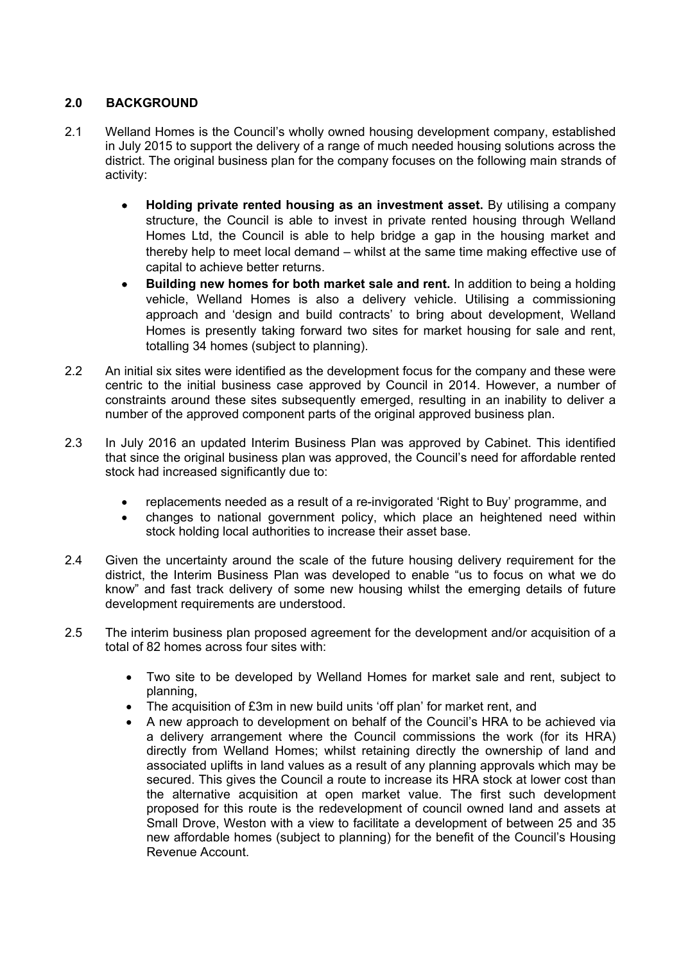# **2.0 BACKGROUND**

- 2.1 Welland Homes is the Council's wholly owned housing development company, established in July 2015 to support the delivery of a range of much needed housing solutions across the district. The original business plan for the company focuses on the following main strands of activity:
	- **Holding private rented housing as an investment asset.** By utilising a company structure, the Council is able to invest in private rented housing through Welland Homes Ltd, the Council is able to help bridge a gap in the housing market and thereby help to meet local demand – whilst at the same time making effective use of capital to achieve better returns.
	- **Building new homes for both market sale and rent.** In addition to being a holding vehicle, Welland Homes is also a delivery vehicle. Utilising a commissioning approach and 'design and build contracts' to bring about development, Welland Homes is presently taking forward two sites for market housing for sale and rent, totalling 34 homes (subject to planning).
- 2.2 An initial six sites were identified as the development focus for the company and these were centric to the initial business case approved by Council in 2014. However, a number of constraints around these sites subsequently emerged, resulting in an inability to deliver a number of the approved component parts of the original approved business plan.
- 2.3 In July 2016 an updated Interim Business Plan was approved by Cabinet. This identified that since the original business plan was approved, the Council's need for affordable rented stock had increased significantly due to:
	- replacements needed as a result of a re-invigorated 'Right to Buy' programme, and
	- changes to national government policy, which place an heightened need within stock holding local authorities to increase their asset base.
- 2.4 Given the uncertainty around the scale of the future housing delivery requirement for the district, the Interim Business Plan was developed to enable "us to focus on what we do know" and fast track delivery of some new housing whilst the emerging details of future development requirements are understood.
- 2.5 The interim business plan proposed agreement for the development and/or acquisition of a total of 82 homes across four sites with:
	- Two site to be developed by Welland Homes for market sale and rent, subject to planning,
	- The acquisition of £3m in new build units 'off plan' for market rent, and
	- A new approach to development on behalf of the Council's HRA to be achieved via a delivery arrangement where the Council commissions the work (for its HRA) directly from Welland Homes; whilst retaining directly the ownership of land and associated uplifts in land values as a result of any planning approvals which may be secured. This gives the Council a route to increase its HRA stock at lower cost than the alternative acquisition at open market value. The first such development proposed for this route is the redevelopment of council owned land and assets at Small Drove, Weston with a view to facilitate a development of between 25 and 35 new affordable homes (subject to planning) for the benefit of the Council's Housing Revenue Account.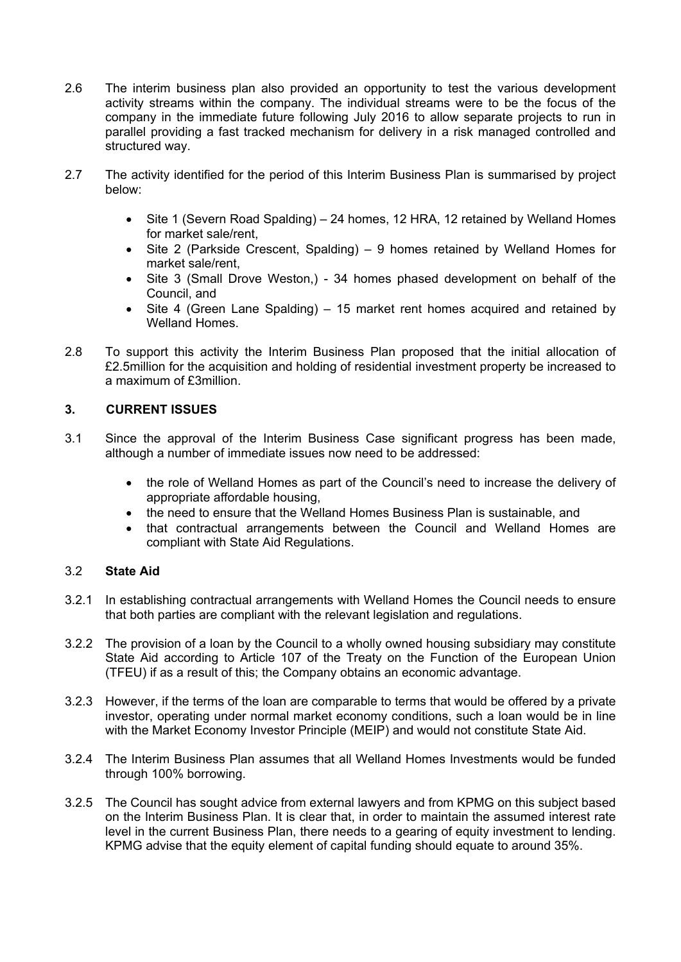- 2.6 The interim business plan also provided an opportunity to test the various development activity streams within the company. The individual streams were to be the focus of the company in the immediate future following July 2016 to allow separate projects to run in parallel providing a fast tracked mechanism for delivery in a risk managed controlled and structured way.
- 2.7 The activity identified for the period of this Interim Business Plan is summarised by project below:
	- Site 1 (Severn Road Spalding) 24 homes, 12 HRA, 12 retained by Welland Homes for market sale/rent,
	- Site 2 (Parkside Crescent, Spalding) 9 homes retained by Welland Homes for market sale/rent,
	- Site 3 (Small Drove Weston,) 34 homes phased development on behalf of the Council, and
	- Site 4 (Green Lane Spalding) 15 market rent homes acquired and retained by Welland Homes.
- 2.8 To support this activity the Interim Business Plan proposed that the initial allocation of £2.5million for the acquisition and holding of residential investment property be increased to a maximum of £3million.

## **3. CURRENT ISSUES**

- 3.1 Since the approval of the Interim Business Case significant progress has been made, although a number of immediate issues now need to be addressed:
	- the role of Welland Homes as part of the Council's need to increase the delivery of appropriate affordable housing,
	- the need to ensure that the Welland Homes Business Plan is sustainable, and
	- that contractual arrangements between the Council and Welland Homes are compliant with State Aid Regulations.

## 3.2 **State Aid**

- 3.2.1 In establishing contractual arrangements with Welland Homes the Council needs to ensure that both parties are compliant with the relevant legislation and regulations.
- 3.2.2 The provision of a loan by the Council to a wholly owned housing subsidiary may constitute State Aid according to Article 107 of the Treaty on the Function of the European Union (TFEU) if as a result of this; the Company obtains an economic advantage.
- 3.2.3 However, if the terms of the loan are comparable to terms that would be offered by a private investor, operating under normal market economy conditions, such a loan would be in line with the Market Economy Investor Principle (MEIP) and would not constitute State Aid.
- 3.2.4 The Interim Business Plan assumes that all Welland Homes Investments would be funded through 100% borrowing.
- 3.2.5 The Council has sought advice from external lawyers and from KPMG on this subject based on the Interim Business Plan. It is clear that, in order to maintain the assumed interest rate level in the current Business Plan, there needs to a gearing of equity investment to lending. KPMG advise that the equity element of capital funding should equate to around 35%.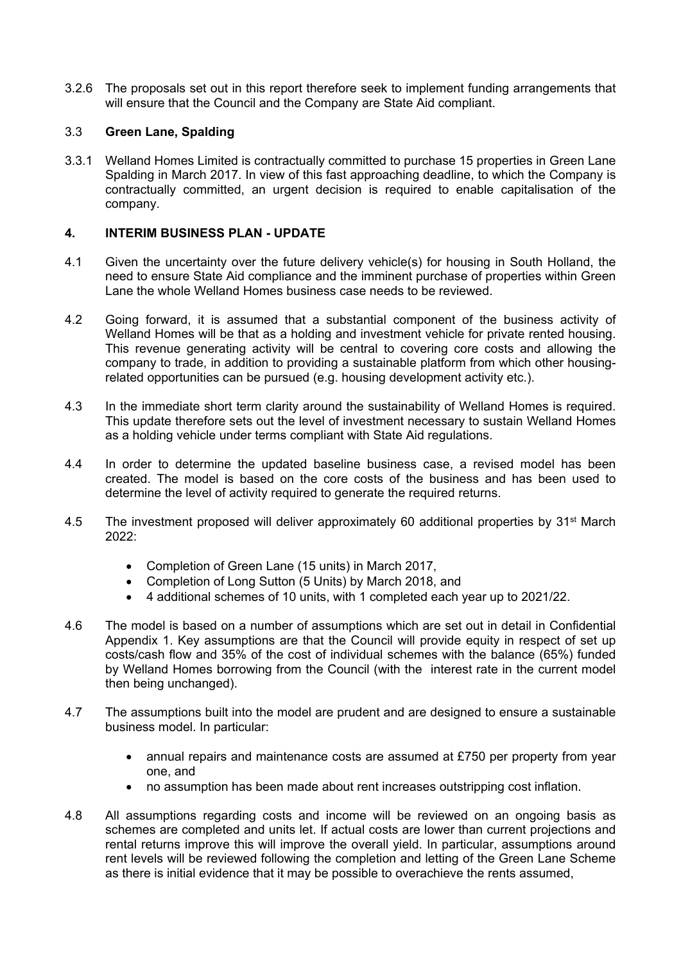3.2.6 The proposals set out in this report therefore seek to implement funding arrangements that will ensure that the Council and the Company are State Aid compliant.

## 3.3 **Green Lane, Spalding**

3.3.1 Welland Homes Limited is contractually committed to purchase 15 properties in Green Lane Spalding in March 2017. In view of this fast approaching deadline, to which the Company is contractually committed, an urgent decision is required to enable capitalisation of the company.

## **4. INTERIM BUSINESS PLAN - UPDATE**

- 4.1 Given the uncertainty over the future delivery vehicle(s) for housing in South Holland, the need to ensure State Aid compliance and the imminent purchase of properties within Green Lane the whole Welland Homes business case needs to be reviewed.
- 4.2 Going forward, it is assumed that a substantial component of the business activity of Welland Homes will be that as a holding and investment vehicle for private rented housing. This revenue generating activity will be central to covering core costs and allowing the company to trade, in addition to providing a sustainable platform from which other housingrelated opportunities can be pursued (e.g. housing development activity etc.).
- 4.3 In the immediate short term clarity around the sustainability of Welland Homes is required. This update therefore sets out the level of investment necessary to sustain Welland Homes as a holding vehicle under terms compliant with State Aid regulations.
- 4.4 In order to determine the updated baseline business case, a revised model has been created. The model is based on the core costs of the business and has been used to determine the level of activity required to generate the required returns.
- 4.5 The investment proposed will deliver approximately 60 additional properties by 31<sup>st</sup> March  $2022$ 
	- Completion of Green Lane (15 units) in March 2017,
	- Completion of Long Sutton (5 Units) by March 2018, and
	- 4 additional schemes of 10 units, with 1 completed each year up to 2021/22.
- 4.6 The model is based on a number of assumptions which are set out in detail in Confidential Appendix 1. Key assumptions are that the Council will provide equity in respect of set up costs/cash flow and 35% of the cost of individual schemes with the balance (65%) funded by Welland Homes borrowing from the Council (with the interest rate in the current model then being unchanged).
- 4.7 The assumptions built into the model are prudent and are designed to ensure a sustainable business model. In particular:
	- annual repairs and maintenance costs are assumed at £750 per property from year one, and
	- no assumption has been made about rent increases outstripping cost inflation.
- 4.8 All assumptions regarding costs and income will be reviewed on an ongoing basis as schemes are completed and units let. If actual costs are lower than current projections and rental returns improve this will improve the overall yield. In particular, assumptions around rent levels will be reviewed following the completion and letting of the Green Lane Scheme as there is initial evidence that it may be possible to overachieve the rents assumed,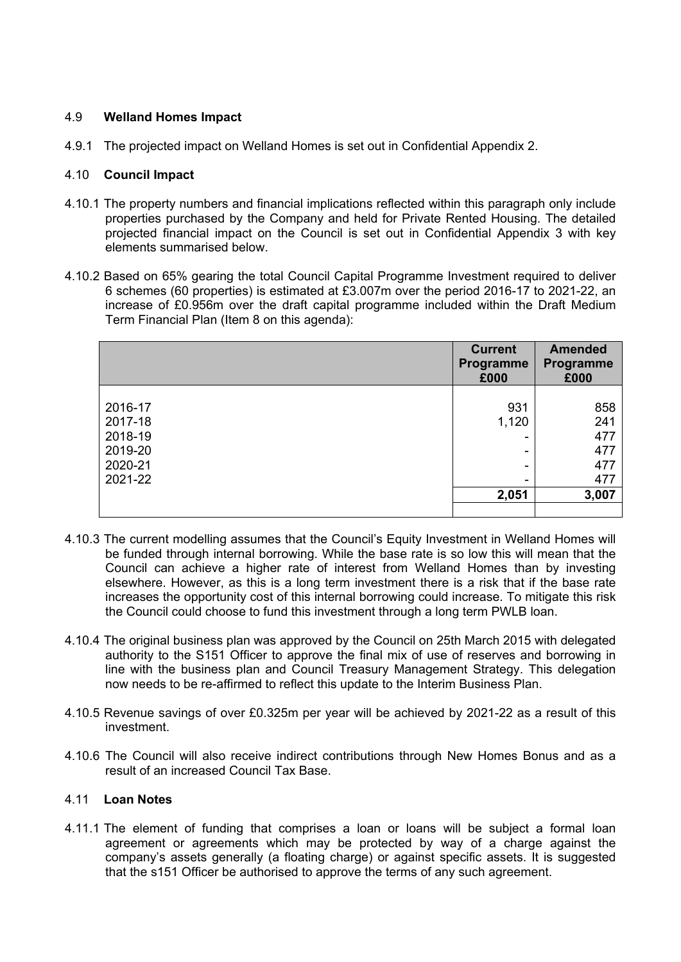## 4.9 **Welland Homes Impact**

4.9.1 The projected impact on Welland Homes is set out in Confidential Appendix 2.

## 4.10 **Council Impact**

- 4.10.1 The property numbers and financial implications reflected within this paragraph only include properties purchased by the Company and held for Private Rented Housing. The detailed projected financial impact on the Council is set out in Confidential Appendix 3 with key elements summarised below.
- 4.10.2 Based on 65% gearing the total Council Capital Programme Investment required to deliver 6 schemes (60 properties) is estimated at £3.007m over the period 2016-17 to 2021-22, an increase of £0.956m over the draft capital programme included within the Draft Medium Term Financial Plan (Item 8 on this agenda):

|         | <b>Current</b><br>Programme<br>£000 | <b>Amended</b><br>Programme<br>£000 |
|---------|-------------------------------------|-------------------------------------|
|         |                                     |                                     |
| 2016-17 | 931                                 | 858                                 |
| 2017-18 | 1,120                               | 241                                 |
| 2018-19 |                                     | 477<br>-                            |
| 2019-20 |                                     | 477<br>-                            |
| 2020-21 |                                     | 477                                 |
| 2021-22 |                                     | 477<br>-                            |
|         | 2,051                               | 3,007                               |
|         |                                     |                                     |

- 4.10.3 The current modelling assumes that the Council's Equity Investment in Welland Homes will be funded through internal borrowing. While the base rate is so low this will mean that the Council can achieve a higher rate of interest from Welland Homes than by investing elsewhere. However, as this is a long term investment there is a risk that if the base rate increases the opportunity cost of this internal borrowing could increase. To mitigate this risk the Council could choose to fund this investment through a long term PWLB loan.
- 4.10.4 The original business plan was approved by the Council on 25th March 2015 with delegated authority to the S151 Officer to approve the final mix of use of reserves and borrowing in line with the business plan and Council Treasury Management Strategy. This delegation now needs to be re-affirmed to reflect this update to the Interim Business Plan.
- 4.10.5 Revenue savings of over £0.325m per year will be achieved by 2021-22 as a result of this investment.
- 4.10.6 The Council will also receive indirect contributions through New Homes Bonus and as a result of an increased Council Tax Base.

## 4.11 **Loan Notes**

4.11.1 The element of funding that comprises a loan or loans will be subject a formal loan agreement or agreements which may be protected by way of a charge against the company's assets generally (a floating charge) or against specific assets. It is suggested that the s151 Officer be authorised to approve the terms of any such agreement.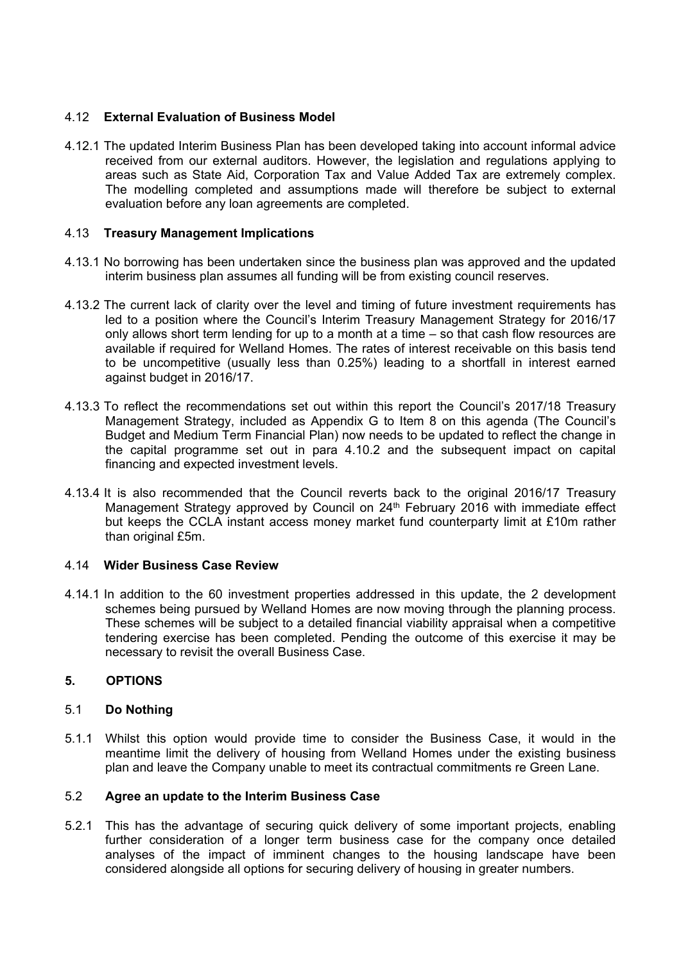## 4.12 **External Evaluation of Business Model**

4.12.1 The updated Interim Business Plan has been developed taking into account informal advice received from our external auditors. However, the legislation and regulations applying to areas such as State Aid, Corporation Tax and Value Added Tax are extremely complex. The modelling completed and assumptions made will therefore be subject to external evaluation before any loan agreements are completed.

## 4.13 **Treasury Management Implications**

- 4.13.1 No borrowing has been undertaken since the business plan was approved and the updated interim business plan assumes all funding will be from existing council reserves.
- 4.13.2 The current lack of clarity over the level and timing of future investment requirements has led to a position where the Council's Interim Treasury Management Strategy for 2016/17 only allows short term lending for up to a month at a time – so that cash flow resources are available if required for Welland Homes. The rates of interest receivable on this basis tend to be uncompetitive (usually less than 0.25%) leading to a shortfall in interest earned against budget in 2016/17.
- 4.13.3 To reflect the recommendations set out within this report the Council's 2017/18 Treasury Management Strategy, included as Appendix G to Item 8 on this agenda (The Council's Budget and Medium Term Financial Plan) now needs to be updated to reflect the change in the capital programme set out in para 4.10.2 and the subsequent impact on capital financing and expected investment levels.
- 4.13.4 It is also recommended that the Council reverts back to the original 2016/17 Treasury Management Strategy approved by Council on 24<sup>th</sup> February 2016 with immediate effect but keeps the CCLA instant access money market fund counterparty limit at £10m rather than original £5m.

## 4.14 **Wider Business Case Review**

4.14.1 In addition to the 60 investment properties addressed in this update, the 2 development schemes being pursued by Welland Homes are now moving through the planning process. These schemes will be subject to a detailed financial viability appraisal when a competitive tendering exercise has been completed. Pending the outcome of this exercise it may be necessary to revisit the overall Business Case.

## **5. OPTIONS**

## 5.1 **Do Nothing**

5.1.1 Whilst this option would provide time to consider the Business Case, it would in the meantime limit the delivery of housing from Welland Homes under the existing business plan and leave the Company unable to meet its contractual commitments re Green Lane.

## 5.2 **Agree an update to the Interim Business Case**

5.2.1 This has the advantage of securing quick delivery of some important projects, enabling further consideration of a longer term business case for the company once detailed analyses of the impact of imminent changes to the housing landscape have been considered alongside all options for securing delivery of housing in greater numbers.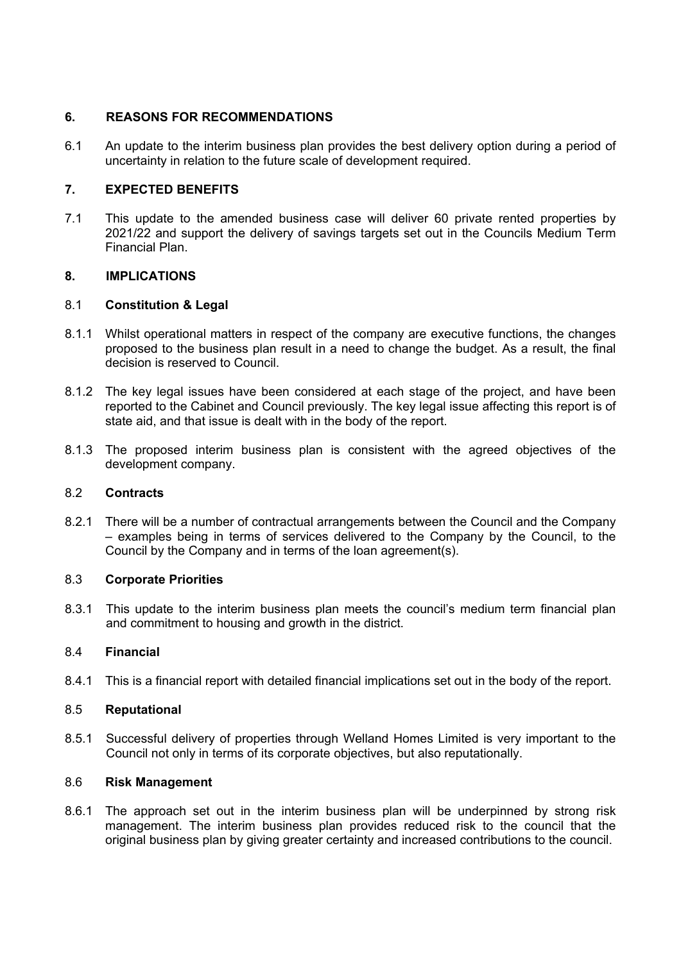## **6. REASONS FOR RECOMMENDATIONS**

6.1 An update to the interim business plan provides the best delivery option during a period of uncertainty in relation to the future scale of development required.

## **7. EXPECTED BENEFITS**

7.1 This update to the amended business case will deliver 60 private rented properties by 2021/22 and support the delivery of savings targets set out in the Councils Medium Term Financial Plan.

## **8. IMPLICATIONS**

## 8.1 **Constitution & Legal**

- 8.1.1 Whilst operational matters in respect of the company are executive functions, the changes proposed to the business plan result in a need to change the budget. As a result, the final decision is reserved to Council.
- 8.1.2 The key legal issues have been considered at each stage of the project, and have been reported to the Cabinet and Council previously. The key legal issue affecting this report is of state aid, and that issue is dealt with in the body of the report.
- 8.1.3 The proposed interim business plan is consistent with the agreed objectives of the development company.

## 8.2 **Contracts**

8.2.1 There will be a number of contractual arrangements between the Council and the Company – examples being in terms of services delivered to the Company by the Council, to the Council by the Company and in terms of the loan agreement(s).

## 8.3 **Corporate Priorities**

8.3.1 This update to the interim business plan meets the council's medium term financial plan and commitment to housing and growth in the district.

## 8.4 **Financial**

8.4.1 This is a financial report with detailed financial implications set out in the body of the report.

## 8.5 **Reputational**

8.5.1 Successful delivery of properties through Welland Homes Limited is very important to the Council not only in terms of its corporate objectives, but also reputationally.

## 8.6 **Risk Management**

8.6.1 The approach set out in the interim business plan will be underpinned by strong risk management. The interim business plan provides reduced risk to the council that the original business plan by giving greater certainty and increased contributions to the council.